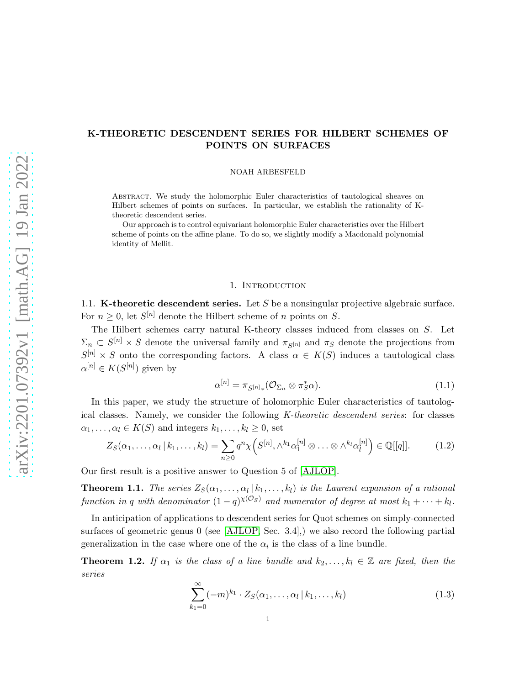# K-THEORETIC DESCENDENT SERIES FOR HILBERT SCHEMES OF POINTS ON SURFACES

NOAH ARBESFELD

Abstract. We study the holomorphic Euler characteristics of tautological sheaves on Hilbert schemes of points on surfaces. In particular, we establish the rationality of Ktheoretic descendent series.

Our approach is to control equivariant holomorphic Euler characteristics over the Hilbert scheme of points on the affine plane. To do so, we slightly modify a Macdonald polynomial identity of Mellit.

## 1. INTRODUCTION

1.1. **K-theoretic descendent series.** Let S be a nonsingular projective algebraic surface. For  $n \geq 0$ , let  $S^{[n]}$  denote the Hilbert scheme of n points on S.

The Hilbert schemes carry natural K-theory classes induced from classes on S. Let  $\Sigma_n \subset S^{[n]} \times S$  denote the universal family and  $\pi_{S^{[n]}}$  and  $\pi_S$  denote the projections from  $S^{[n]} \times S$  onto the corresponding factors. A class  $\alpha \in K(S)$  induces a tautological class  $\alpha^{[n]} \in K(S^{[n]})$  given by

<span id="page-0-4"></span><span id="page-0-1"></span>
$$
\alpha^{[n]} = \pi_{S^{[n]}}_{*} (\mathcal{O}_{\Sigma_n} \otimes \pi_S^* \alpha). \tag{1.1}
$$

In this paper, we study the structure of holomorphic Euler characteristics of tautological classes. Namely, we consider the following K-theoretic descendent series: for classes  $\alpha_1, \ldots, \alpha_l \in K(S)$  and integers  $k_1, \ldots, k_l \geq 0$ , set

$$
Z_S(\alpha_1,\ldots,\alpha_l \mid k_1,\ldots,k_l) = \sum_{n\geq 0} q^n \chi\Big(S^{[n]}, \wedge^{k_1} \alpha_1^{[n]} \otimes \ldots \otimes \wedge^{k_l} \alpha_l^{[n]}\Big) \in \mathbb{Q}[[q]]. \tag{1.2}
$$

Our first result is a positive answer to Question 5 of [\[AJLOP\]](#page-13-0).

<span id="page-0-0"></span>**Theorem 1.1.** The series  $Z_{S}(\alpha_1, \ldots, \alpha_l | k_1, \ldots, k_l)$  is the Laurent expansion of a rational function in q with denominator  $(1-q)^{\chi(\mathcal{O}_S)}$  and numerator of degree at most  $k_1 + \cdots + k_l$ .

In anticipation of applications to descendent series for Quot schemes on simply-connected surfaces of geometric genus 0 (see [\[AJLOP,](#page-13-0) Sec. 3.4],) we also record the following partial generalization in the case where one of the  $\alpha_i$  is the class of a line bundle.

<span id="page-0-2"></span>**Theorem 1.2.** If  $\alpha_1$  is the class of a line bundle and  $k_2, \ldots, k_l \in \mathbb{Z}$  are fixed, then the series

<span id="page-0-3"></span>
$$
\sum_{k_1=0}^{\infty} (-m)^{k_1} \cdot Z_S(\alpha_1, \dots, \alpha_l \, | \, k_1, \dots, k_l)
$$
\n(1.3)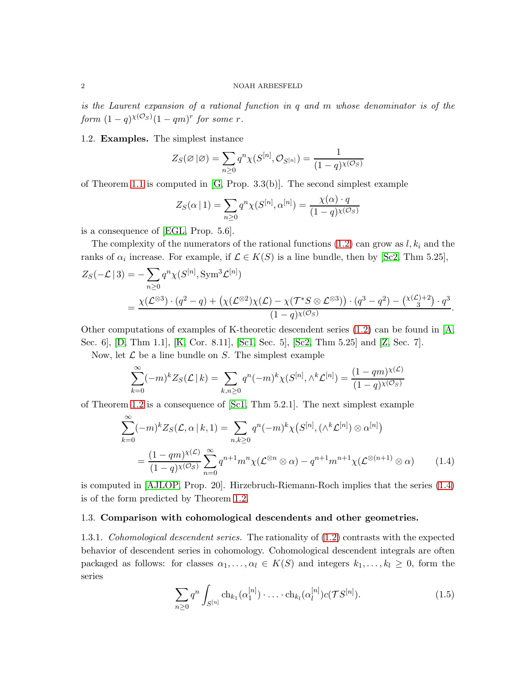is the Laurent expansion of a rational function in q and m whose denominator is of the  $\emph{form}\,\, (1-q)^{\chi(\mathcal{O}_S)}(1-qm)^r\,\, \emph{for some}\,\, r.$ 

1.2. Examples. The simplest instance

$$
Z_S(\varnothing|\varnothing) = \sum_{n\geq 0} q^n \chi(S^{[n]}, \mathcal{O}_{S^{[n]}}) = \frac{1}{(1-q)^{\chi(\mathcal{O}_S)}}
$$

of Theorem [1.1](#page-0-0) is computed in [\[G,](#page-13-1) Prop. 3.3(b)]. The second simplest example

$$
Z_S(\alpha | 1) = \sum_{n \ge 0} q^n \chi(S^{[n]}, \alpha^{[n]}) = \frac{\chi(\alpha) \cdot q}{(1-q)^{\chi(\mathcal{O}_S)}}
$$

is a consequence of [\[EGL,](#page-13-2) Prop. 5.6].

The complexity of the numerators of the rational functions  $(1.2)$  can grow as  $l, k_i$  and the ranks of  $\alpha_i$  increase. For example, if  $\mathcal{L} \in K(S)$  is a line bundle, then by [\[Sc2,](#page-14-0) Thm 5.25],

$$
Z_S(-\mathcal{L} \mid 3) = -\sum_{n \ge 0} q^n \chi(S^{[n]}, \text{Sym}^3 \mathcal{L}^{[n]})
$$
  
= 
$$
\frac{\chi(\mathcal{L}^{\otimes 3}) \cdot (q^2 - q) + (\chi(\mathcal{L}^{\otimes 2}) \chi(\mathcal{L}) - \chi(\mathcal{T}^* S \otimes \mathcal{L}^{\otimes 3})) \cdot (q^3 - q^2) - (\chi(\mathcal{L})^2 \cdot q^3}{(1 - q) \chi(\mathcal{O}_S)}.
$$

Other computations of examples of K-theoretic descendent series  $(1.2)$  can be found in [\[A,](#page-13-3) Sec. 6], [\[D,](#page-13-4) Thm 1.1], [\[K,](#page-14-1) Cor. 8.11], [\[Sc1,](#page-14-2) Sec. 5], [\[Sc2,](#page-14-0) Thm 5.25] and [\[Z,](#page-14-3) Sec. 7].

Now, let  $\mathcal L$  be a line bundle on  $S$ . The simplest example

$$
\sum_{k=0}^{\infty} (-m)^k Z_S(\mathcal{L} \mid k) = \sum_{k,n \ge 0} q^n (-m)^k \chi(S^{[n]}, \wedge^k \mathcal{L}^{[n]}) = \frac{(1-qm)^{\chi(\mathcal{L})}}{(1-q)^{\chi(\mathcal{O}_S)}}
$$

of Theorem [1.2](#page-0-2) is a consequence of [\[Sc1,](#page-14-2) Thm 5.2.1]. The next simplest example

$$
\sum_{k=0}^{\infty} (-m)^k Z_S(\mathcal{L}, \alpha | k, 1) = \sum_{n,k \ge 0} q^n (-m)^k \chi(S^{[n]}, (\wedge^k \mathcal{L}^{[n]}) \otimes \alpha^{[n]})
$$
  
= 
$$
\frac{(1-qm)^{\chi(\mathcal{L})}}{(1-q)^{\chi(\mathcal{O}_S)}} \sum_{n=0}^{\infty} q^{n+1} m^n \chi(\mathcal{L}^{\otimes n} \otimes \alpha) - q^{n+1} m^{n+1} \chi(\mathcal{L}^{\otimes (n+1)} \otimes \alpha)
$$
 (1.4)

is computed in [\[AJLOP,](#page-13-0) Prop. 20]. Hirzebruch-Riemann-Roch implies that the series [\(1.4\)](#page-1-0) is of the form predicted by Theorem [1.2.](#page-0-2)

## 1.3. Comparison with cohomological descendents and other geometries.

1.3.1. Cohomological descendent series. The rationality of  $(1.2)$  contrasts with the expected behavior of descendent series in cohomology. Cohomological descendent integrals are often packaged as follows: for classes  $\alpha_1, \ldots, \alpha_l \in K(S)$  and integers  $k_1, \ldots, k_l \geq 0$ , form the series

<span id="page-1-1"></span><span id="page-1-0"></span>
$$
\sum_{n\geq 0} q^n \int_{S^{[n]}} \mathrm{ch}_{k_1}(\alpha_1^{[n]}) \cdot \ldots \cdot \mathrm{ch}_{k_l}(\alpha_l^{[n]}) c(\mathcal{T}S^{[n]}).
$$
 (1.5)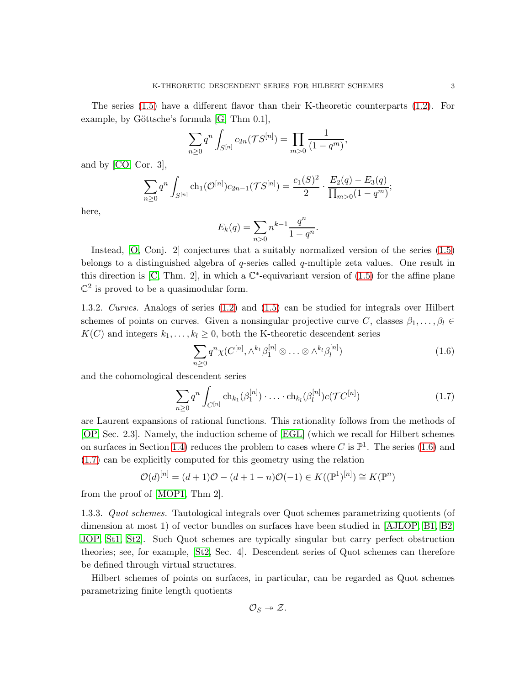$$
\sum_{n\geq 0} q^n \int_{S^{[n]}} c_{2n}(\mathcal{T}S^{[n]}) = \prod_{m>0} \frac{1}{(1-q^m)},
$$

and by [\[CO,](#page-13-5) Cor. 3],

$$
\sum_{n\geq 0} q^n \int_{S^{[n]}} ch_1(\mathcal{O}^{[n]}) c_{2n-1}(\mathcal{T}S^{[n]}) = \frac{c_1(S)^2}{2} \cdot \frac{E_2(q) - E_3(q)}{\prod_{m>0} (1-q^m)};
$$

here,

$$
E_k(q) = \sum_{n>0} n^{k-1} \frac{q^n}{1-q^n}.
$$

Instead, [\[O,](#page-14-4) Conj. 2] conjectures that a suitably normalized version of the series [\(1.5\)](#page-1-1) belongs to a distinguished algebra of q-series called q-multiple zeta values. One result in this direction is [\[C,](#page-13-6) Thm. 2], in which a  $\mathbb{C}^*$ -equivariant version of [\(1.5\)](#page-1-1) for the affine plane  $\mathbb{C}^2$  is proved to be a quasimodular form.

1.3.2. Curves. Analogs of series [\(1.2\)](#page-0-1) and [\(1.5\)](#page-1-1) can be studied for integrals over Hilbert schemes of points on curves. Given a nonsingular projective curve C, classes  $\beta_1, \ldots, \beta_l \in$  $K(C)$  and integers  $k_1, \ldots, k_l \geq 0$ , both the K-theoretic descendent series

<span id="page-2-1"></span><span id="page-2-0"></span>
$$
\sum_{n\geq 0} q^n \chi(C^{[n]}, \wedge^{k_1} \beta_1^{[n]} \otimes \ldots \otimes \wedge^{k_l} \beta_l^{[n]})
$$
\n(1.6)

and the cohomological descendent series

$$
\sum_{n\geq 0} q^n \int_{C^{[n]}} \mathrm{ch}_{k_1}(\beta_1^{[n]}) \cdot \ldots \cdot \mathrm{ch}_{k_l}(\beta_l^{[n]}) c(\mathcal{T}C^{[n]}) \tag{1.7}
$$

are Laurent expansions of rational functions. This rationality follows from the methods of [\[OP,](#page-14-5) Sec. 2.3]. Namely, the induction scheme of [\[EGL\]](#page-13-2) (which we recall for Hilbert schemes on surfaces in Section [1.4\)](#page-3-0) reduces the problem to cases where C is  $\mathbb{P}^1$ . The series [\(1.6\)](#page-2-0) and [\(1.7\)](#page-2-1) can be explicitly computed for this geometry using the relation

$$
\mathcal{O}(d)^{[n]} = (d+1)\mathcal{O} - (d+1-n)\mathcal{O}(-1) \in K((\mathbb{P}^{1})^{[n]}) \cong K(\mathbb{P}^{n})
$$

from the proof of [\[MOP1,](#page-14-6) Thm 2].

1.3.3. Quot schemes. Tautological integrals over Quot schemes parametrizing quotients (of dimension at most 1) of vector bundles on surfaces have been studied in [\[AJLOP,](#page-13-0) [B1,](#page-13-7) [B2,](#page-13-8) [JOP,](#page-13-9) [St1,](#page-14-7) [St2\]](#page-14-8). Such Quot schemes are typically singular but carry perfect obstruction theories; see, for example, [\[St2,](#page-14-8) Sec. 4]. Descendent series of Quot schemes can therefore be defined through virtual structures.

Hilbert schemes of points on surfaces, in particular, can be regarded as Quot schemes parametrizing finite length quotients

$$
\mathcal{O}_S \twoheadrightarrow \mathcal{Z}.
$$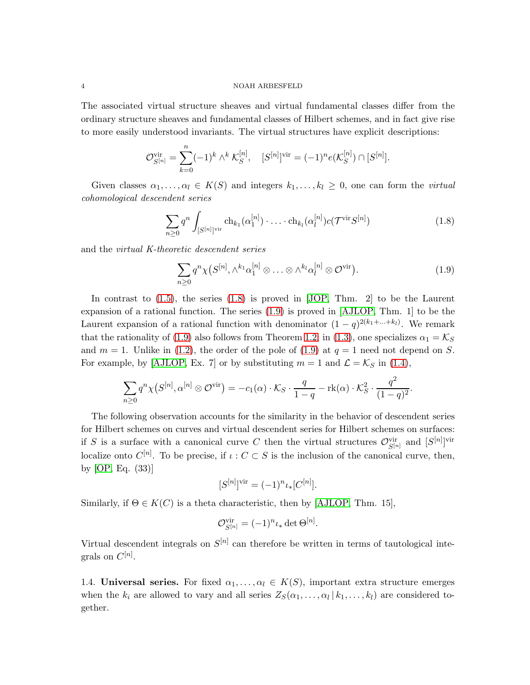#### 4 NOAH ARBESFELD

The associated virtual structure sheaves and virtual fundamental classes differ from the ordinary structure sheaves and fundamental classes of Hilbert schemes, and in fact give rise to more easily understood invariants. The virtual structures have explicit descriptions:

$$
\mathcal{O}_{S^{[n]}}^{\text{vir}} = \sum_{k=0}^{n} (-1)^k \wedge^k \mathcal{K}_S^{[n]}, \quad [S^{[n]}]^{\text{vir}} = (-1)^n e(\mathcal{K}_S^{[n]}) \cap [S^{[n]}].
$$

Given classes  $\alpha_1, \ldots, \alpha_l \in K(S)$  and integers  $k_1, \ldots, k_l \geq 0$ , one can form the *virtual* cohomological descendent series

$$
\sum_{n\geq 0} q^n \int_{[S^{[n]}]^{\text{vir}}} \text{ch}_{k_1}(\alpha_1^{[n]}) \cdot \ldots \cdot \text{ch}_{k_l}(\alpha_l^{[n]}) c(\mathcal{T}^{\text{vir}} S^{[n]})
$$
\n(1.8)

and the virtual K-theoretic descendent series

<span id="page-3-2"></span><span id="page-3-1"></span>
$$
\sum_{n\geq 0} q^n \chi(S^{[n]}, \wedge^{k_1} \alpha_1^{[n]} \otimes \ldots \otimes \wedge^{k_l} \alpha_l^{[n]} \otimes \mathcal{O}^{\text{vir}}). \tag{1.9}
$$

In contrast to [\(1.5\)](#page-1-1), the series [\(1.8\)](#page-3-1) is proved in [\[JOP,](#page-13-9) Thm. 2] to be the Laurent expansion of a rational function. The series [\(1.9\)](#page-3-2) is proved in [\[AJLOP,](#page-13-0) Thm. 1] to be the Laurent expansion of a rational function with denominator  $(1-q)^{2(k_1+\ldots+k_l)}$ . We remark that the rationality of [\(1.9\)](#page-3-2) also follows from Theorem [1.2;](#page-0-2) in [\(1.3\)](#page-0-3), one specializes  $\alpha_1 = \mathcal{K}_S$ and  $m = 1$ . Unlike in [\(1.2\)](#page-0-1), the order of the pole of [\(1.9\)](#page-3-2) at  $q = 1$  need not depend on S. For example, by [\[AJLOP,](#page-13-0) Ex. 7] or by substituting  $m = 1$  and  $\mathcal{L} = \mathcal{K}_S$  in [\(1.4\)](#page-1-0),

$$
\sum_{n\geq 0} q^n \chi(S^{[n]}, \alpha^{[n]} \otimes \mathcal{O}^{\mathrm{vir}}) = -c_1(\alpha) \cdot \mathcal{K}_S \cdot \frac{q}{1-q} - \mathrm{rk}(\alpha) \cdot \mathcal{K}_S^2 \cdot \frac{q^2}{(1-q)^2}.
$$

The following observation accounts for the similarity in the behavior of descendent series for Hilbert schemes on curves and virtual descendent series for Hilbert schemes on surfaces: if S is a surface with a canonical curve C then the virtual structures  $\mathcal{O}_{S^{[n]}}^{\text{vir}}$  and  $[S^{[n]}]^{\text{vir}}$ localize onto  $C^{[n]}$ . To be precise, if  $\iota : C \subset S$  is the inclusion of the canonical curve, then, by [\[OP,](#page-14-5) Eq. (33)]

$$
[S^{[n]}]^{\text{vir}} = (-1)^n \iota_*[C^{[n]}].
$$

Similarly, if  $\Theta \in K(C)$  is a theta characteristic, then by [\[AJLOP,](#page-13-0) Thm. 15],

$$
\mathcal{O}_{S^{[n]}}^{\text{vir}} = (-1)^n \iota_* \det \Theta^{[n]}.
$$

Virtual descendent integrals on  $S^{[n]}$  can therefore be written in terms of tautological integrals on  $C^{[n]}$ .

<span id="page-3-0"></span>1.4. Universal series. For fixed  $\alpha_1, \ldots, \alpha_l \in K(S)$ , important extra structure emerges when the  $k_i$  are allowed to vary and all series  $Z_S(\alpha_1, \ldots, \alpha_l | k_1, \ldots, k_l)$  are considered together.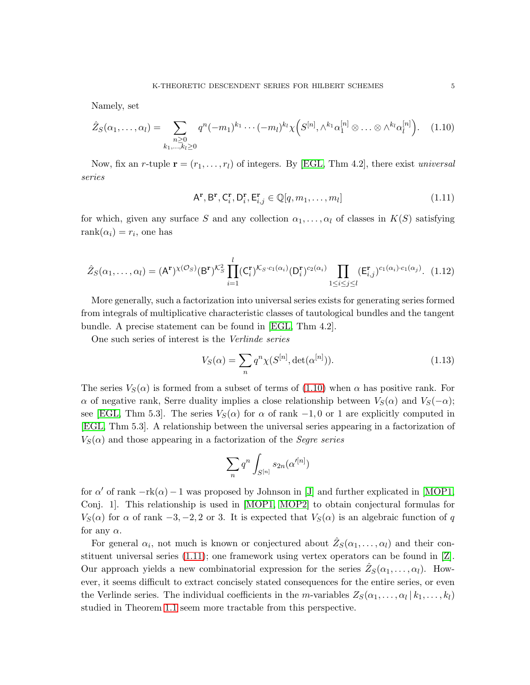Namely, set

$$
\hat{Z}_S(\alpha_1, ..., \alpha_l) = \sum_{\substack{n \geq 0 \\ k_1, ..., k_l \geq 0}} q^n (-m_1)^{k_1} \cdots (-m_l)^{k_l} \chi\Big(S^{[n]}, \wedge^{k_1} \alpha_1^{[n]} \otimes ... \otimes \wedge^{k_l} \alpha_l^{[n]}\Big). \tag{1.10}
$$

Now, fix an r-tuple  $\mathbf{r} = (r_1, \ldots, r_l)$  of integers. By [\[EGL,](#page-13-2) Thm 4.2], there exist universal series

<span id="page-4-1"></span><span id="page-4-0"></span>
$$
A^{\mathbf{r}}, B^{\mathbf{r}}, C_i^{\mathbf{r}}, D_i^{\mathbf{r}}, E_{i,j}^{\mathbf{r}} \in \mathbb{Q}[q, m_1, \dots, m_l]
$$
\n(1.11)

for which, given any surface S and any collection  $\alpha_1, \ldots, \alpha_l$  of classes in  $K(S)$  satisfying  $rank(\alpha_i) = r_i$ , one has

$$
\hat{Z}_S(\alpha_1,\ldots,\alpha_l) = (\mathsf{A}^{\mathbf{r}})^{\chi(\mathcal{O}_S)}(\mathsf{B}^{\mathbf{r}})^{\mathcal{K}_S^2} \prod_{i=1}^l (\mathsf{C}_i^{\mathbf{r}})^{\mathcal{K}_S \cdot c_1(\alpha_i)}(\mathsf{D}_i^{\mathbf{r}})^{c_2(\alpha_i)} \prod_{1 \le i \le j \le l} (\mathsf{E}_{i,j}^{\mathbf{r}})^{c_1(\alpha_i) \cdot c_1(\alpha_j)}.
$$
 (1.12)

More generally, such a factorization into universal series exists for generating series formed from integrals of multiplicative characteristic classes of tautological bundles and the tangent bundle. A precise statement can be found in [\[EGL,](#page-13-2) Thm 4.2].

One such series of interest is the Verlinde series

<span id="page-4-2"></span>
$$
V_S(\alpha) = \sum_n q^n \chi(S^{[n]}, \det(\alpha^{[n]})).
$$
\n(1.13)

The series  $V_S(\alpha)$  is formed from a subset of terms of [\(1.10\)](#page-4-0) when  $\alpha$  has positive rank. For  $\alpha$  of negative rank, Serre duality implies a close relationship between  $V_S(\alpha)$  and  $V_S(-\alpha)$ ; see [\[EGL,](#page-13-2) Thm 5.3]. The series  $V_S(\alpha)$  for  $\alpha$  of rank  $-1, 0$  or 1 are explicitly computed in [\[EGL,](#page-13-2) Thm 5.3]. A relationship between the universal series appearing in a factorization of  $V<sub>S</sub>(\alpha)$  and those appearing in a factorization of the *Segre series* 

$$
\sum_{n} q^n \int_{S^{[n]}} s_{2n}(\alpha^{\prime [n]})
$$

for  $\alpha'$  of rank  $-\text{rk}(\alpha) - 1$  was proposed by Johnson in [\[J\]](#page-13-10) and further explicated in [\[MOP1,](#page-14-6) Conj. 1]. This relationship is used in [\[MOP1,](#page-14-6) [MOP2\]](#page-14-9) to obtain conjectural formulas for  $V_S(\alpha)$  for  $\alpha$  of rank  $-3, -2, 2$  or 3. It is expected that  $V_S(\alpha)$  is an algebraic function of q for any  $\alpha$ .

For general  $\alpha_i$ , not much is known or conjectured about  $\hat{Z}_S(\alpha_1,\ldots,\alpha_l)$  and their constituent universal series [\(1.11\)](#page-4-1); one framework using vertex operators can be found in [\[Z\]](#page-14-3). Our approach yields a new combinatorial expression for the series  $\hat{Z}_S(\alpha_1, \ldots, \alpha_l)$ . However, it seems difficult to extract concisely stated consequences for the entire series, or even the Verlinde series. The individual coefficients in the m-variables  $Z_S(\alpha_1, \ldots, \alpha_l | k_1, \ldots, k_l)$ studied in Theorem [1.1](#page-0-0) seem more tractable from this perspective.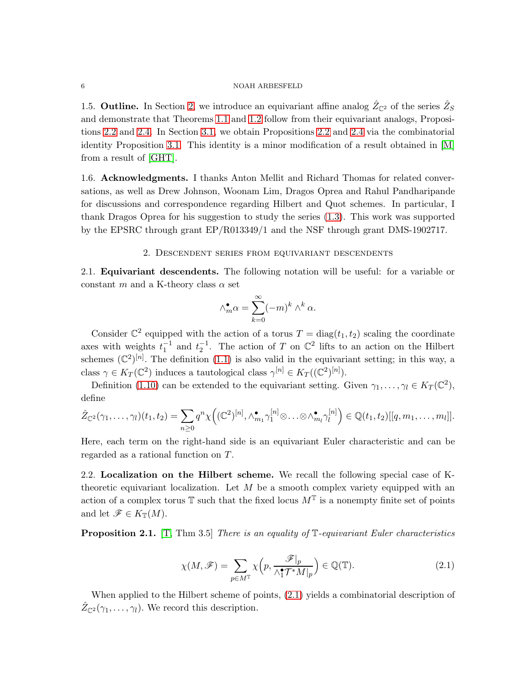#### 6 NOAH ARBESFELD

1.5. **Outline.** In Section [2,](#page-5-0) we introduce an equivariant affine analog  $\hat{Z}_{\mathbb{C}^2}$  of the series  $\hat{Z}_S$ and demonstrate that Theorems [1.1](#page-0-0) and [1.2](#page-0-2) follow from their equivariant analogs, Propositions [2.2](#page-7-0) and [2.4.](#page-8-0) In Section [3.1,](#page-9-0) we obtain Propositions [2.2](#page-7-0) and [2.4](#page-8-0) via the combinatorial identity Proposition [3.1.](#page-11-0) This identity is a minor modification of a result obtained in [\[M\]](#page-14-10) from a result of [\[GHT\]](#page-13-11).

1.6. Acknowledgments. I thanks Anton Mellit and Richard Thomas for related conversations, as well as Drew Johnson, Woonam Lim, Dragos Oprea and Rahul Pandharipande for discussions and correspondence regarding Hilbert and Quot schemes. In particular, I thank Dragos Oprea for his suggestion to study the series [\(1.3\)](#page-0-3). This work was supported by the EPSRC through grant EP/R013349/1 and the NSF through grant DMS-1902717.

### 2. Descendent series from equivariant descendents

<span id="page-5-0"></span>2.1. Equivariant descendents. The following notation will be useful: for a variable or constant m and a K-theory class  $\alpha$  set

$$
\wedge_m^{\bullet} \alpha = \sum_{k=0}^{\infty} (-m)^k \wedge^k \alpha.
$$

Consider  $\mathbb{C}^2$  equipped with the action of a torus  $T = \text{diag}(t_1, t_2)$  scaling the coordinate axes with weights  $t_1^{-1}$  and  $t_2^{-1}$ . The action of T on  $\mathbb{C}^2$  lifts to an action on the Hilbert schemes  $(\mathbb{C}^2)^{[n]}$ . The definition  $(1.1)$  is also valid in the equivariant setting; in this way, a class  $\gamma \in K_T(\mathbb{C}^2)$  induces a tautological class  $\gamma^{[n]} \in K_T((\mathbb{C}^2)^{[n]})$ .

Definition [\(1.10\)](#page-4-0) can be extended to the equivariant setting. Given  $\gamma_1, \dots, \gamma_l \in K_T(\mathbb{C}^2)$ , define

$$
\hat{Z}_{\mathbb{C}^2}(\gamma_1,\ldots,\gamma_l)(t_1,t_2)=\sum_{n\geq 0}q^n\chi\Big((\mathbb{C}^2)^{[n]},\wedge_{m_1}^{\bullet}\gamma_1^{[n]}\otimes\ldots\otimes\wedge_{m_l}^{\bullet}\gamma_l^{[n]}\Big)\in\mathbb{Q}(t_1,t_2)[[q,m_1,\ldots,m_l]].
$$

Here, each term on the right-hand side is an equivariant Euler characteristic and can be regarded as a rational function on T.

2.2. Localization on the Hilbert scheme. We recall the following special case of Ktheoretic equivariant localization. Let  $M$  be a smooth complex variety equipped with an action of a complex torus  $\mathbb T$  such that the fixed locus  $M^{\mathbb T}$  is a nonempty finite set of points and let  $\mathscr{F} \in K_{\mathbb{T}}(M)$ .

**Proposition 2.1.** [\[T,](#page-14-11) Thm 3.5] There is an equality of  $\mathbb{T}$ -equivariant Euler characteristics

<span id="page-5-1"></span>
$$
\chi(M,\mathscr{F}) = \sum_{p \in M^{\mathbb{T}}} \chi\left(p, \frac{\mathscr{F}|_p}{\wedge_1^{\bullet} \mathcal{T}^* M|_p}\right) \in \mathbb{Q}(\mathbb{T}).\tag{2.1}
$$

When applied to the Hilbert scheme of points, [\(2.1\)](#page-5-1) yields a combinatorial description of  $\hat{Z}_{\mathbb{C}^2}(\gamma_1,\ldots,\gamma_l)$ . We record this description.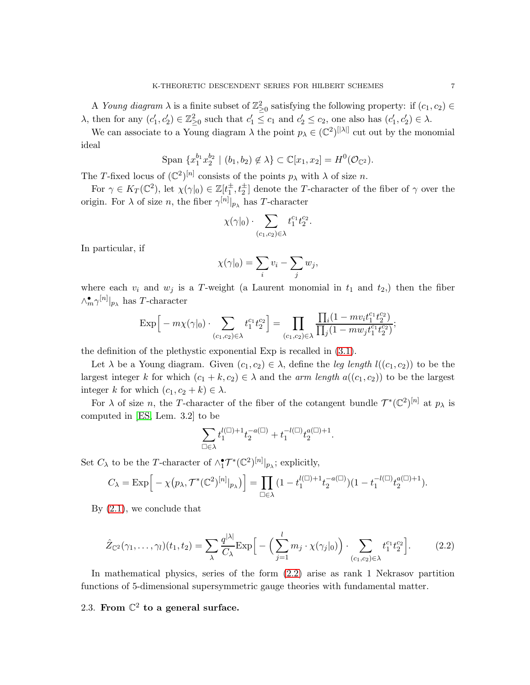A Young diagram  $\lambda$  is a finite subset of  $\mathbb{Z}_{\geq 0}^2$  satisfying the following property: if  $(c_1, c_2) \in$  $\lambda$ , then for any  $(c'_1, c'_2) \in \mathbb{Z}_{\geq 0}^2$  such that  $c'_1 \leq c_1$  and  $c'_2 \leq c_2$ , one also has  $(c'_1, c'_2) \in \lambda$ .

We can associate to a Young diagram  $\lambda$  the point  $p_{\lambda} \in (\mathbb{C}^2)^{[|\lambda|]}$  cut out by the monomial ideal

Span 
$$
\{x_1^{b_1}x_2^{b_2} \mid (b_1, b_2) \notin \lambda\} \subset \mathbb{C}[x_1, x_2] = H^0(\mathcal{O}_{\mathbb{C}^2}).
$$

The T-fixed locus of  $(\mathbb{C}^2)^{[n]}$  consists of the points  $p_\lambda$  with  $\lambda$  of size n.

For  $\gamma \in K_T(\mathbb{C}^2)$ , let  $\chi(\gamma|_0) \in \mathbb{Z}[t_1^{\pm}, t_2^{\pm}]$  denote the T-character of the fiber of  $\gamma$  over the origin. For  $\lambda$  of size n, the fiber  $\gamma^{[n]}|_{p_\lambda}$  has T-character

$$
\chi(\gamma|_0) \cdot \sum_{(c_1,c_2)\in\lambda} t_1^{c_1} t_2^{c_2}.
$$

In particular, if

$$
\chi(\gamma|_0) = \sum_i v_i - \sum_j w_j,
$$

where each  $v_i$  and  $w_j$  is a T-weight (a Laurent monomial in  $t_1$  and  $t_2$ ) then the fiber  $\wedge_m^{\bullet} \gamma^{[n]}|_{p_\lambda}$  has T-character

$$
\exp\Big[-m\chi(\gamma|_0)\cdot\sum_{(c_1,c_2)\in\lambda}t_1^{c_1}t_2^{c_2}\Big]=\prod_{(c_1,c_2)\in\lambda}\frac{\prod_i(1-mv_it_1^{c_1}t_2^{c_2})}{\prod_j(1-mw_jt_1^{c_1}t_2^{c_2})};
$$

the definition of the plethystic exponential Exp is recalled in [\(3.1\)](#page-10-0).

Let  $\lambda$  be a Young diagram. Given  $(c_1, c_2) \in \lambda$ , define the leg length  $l((c_1, c_2))$  to be the largest integer k for which  $(c_1 + k, c_2) \in \lambda$  and the *arm length*  $a((c_1, c_2))$  to be the largest integer k for which  $(c_1, c_2 + k) \in \lambda$ .

For  $\lambda$  of size n, the T-character of the fiber of the cotangent bundle  $\mathcal{T}^*(\mathbb{C}^2)^{[n]}$  at  $p_\lambda$  is computed in [\[ES,](#page-13-12) Lem. 3.2] to be

<span id="page-6-0"></span>
$$
\sum_{\square\in\lambda}t_1^{l(\square)+1}t_2^{-a(\square)}+t_1^{-l(\square)}t_2^{a(\square)+1}.
$$

Set  $C_{\lambda}$  to be the T-character of  $\wedge^{\bullet}_{1} \mathcal{T}^{*}(\mathbb{C}^{2})^{[n]}|_{p_{\lambda}}$ ; explicitly,

$$
C_{\lambda} = \mathrm{Exp}\Big[-\chi\big(p_{\lambda},\mathcal{T}^*(\mathbb{C}^2)^{[n]}|_{p_{\lambda}}\big)\Big] = \prod_{\square\in \lambda}\big(1-t_1^{l(\square)+1}t_2^{-a(\square)}\big)(1-t_1^{-l(\square)}t_2^{a(\square)+1}).
$$

By [\(2.1\)](#page-5-1), we conclude that

$$
\hat{Z}_{\mathbb{C}^2}(\gamma_1, \dots, \gamma_l)(t_1, t_2) = \sum_{\lambda} \frac{q^{|\lambda|}}{C_{\lambda}} \exp\Big[-\Big(\sum_{j=1}^l m_j \cdot \chi(\gamma_j|_0)\Big) \cdot \sum_{(c_1, c_2) \in \lambda} t_1^{c_1} t_2^{c_2}\Big].
$$
 (2.2)

In mathematical physics, series of the form [\(2.2\)](#page-6-0) arise as rank 1 Nekrasov partition functions of 5-dimensional supersymmetric gauge theories with fundamental matter.

# 2.3. From  $\mathbb{C}^2$  to a general surface.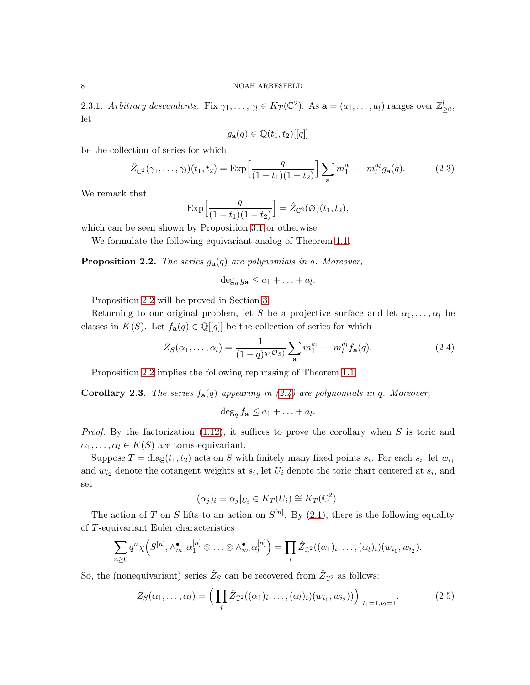<span id="page-7-3"></span>2.3.1. Arbitrary descendents. Fix  $\gamma_1, \ldots, \gamma_l \in K_T(\mathbb{C}^2)$ . As  $\mathbf{a} = (a_1, \ldots, a_l)$  ranges over  $\mathbb{Z}_{\geq 0}^l$ , let

<span id="page-7-5"></span>
$$
g_{\mathbf{a}}(q) \in \mathbb{Q}(t_1, t_2)[[q]]
$$

be the collection of series for which

$$
\hat{Z}_{\mathbb{C}^2}(\gamma_1,\ldots,\gamma_l)(t_1,t_2) = \text{Exp}\Big[\frac{q}{(1-t_1)(1-t_2)}\Big] \sum_{\mathbf{a}} m_1^{a_1} \cdots m_l^{a_l} g_{\mathbf{a}}(q). \tag{2.3}
$$

We remark that

$$
\exp\left[\frac{q}{(1-t_1)(1-t_2)}\right] = \hat{Z}_{\mathbb{C}^2}(\emptyset)(t_1, t_2),
$$

which can be seen shown by Proposition [3.1](#page-11-0) or otherwise.

We formulate the following equivariant analog of Theorem [1.1.](#page-0-0)

<span id="page-7-0"></span>**Proposition 2.2.** The series  $g_a(q)$  are polynomials in q. Moreover,

<span id="page-7-1"></span>
$$
\deg_q g_{\mathbf{a}} \le a_1 + \ldots + a_l.
$$

Proposition [2.2](#page-7-0) will be proved in Section [3.](#page-9-1)

Returning to our original problem, let S be a projective surface and let  $\alpha_1, \ldots, \alpha_l$  be classes in  $K(S)$ . Let  $f_{\mathbf{a}}(q) \in \mathbb{Q}[[q]]$  be the collection of series for which

$$
\hat{Z}_S(\alpha_1,\ldots,\alpha_l) = \frac{1}{(1-q)^{\chi(\mathcal{O}_S)}} \sum_{\mathbf{a}} m_1^{a_1} \cdots m_l^{a_l} f_{\mathbf{a}}(q). \tag{2.4}
$$

Proposition [2.2](#page-7-0) implies the following rephrasing of Theorem [1.1.](#page-0-0)

<span id="page-7-4"></span>**Corollary 2.3.** The series  $f_{\mathbf{a}}(q)$  appearing in [\(2.4\)](#page-7-1) are polynomials in q. Moreover,

$$
\deg_q f_{\mathbf{a}} \le a_1 + \ldots + a_l.
$$

*Proof.* By the factorization  $(1.12)$ , it suffices to prove the corollary when S is toric and  $\alpha_1, \ldots, \alpha_l \in K(S)$  are torus-equivariant.

Suppose  $T = diag(t_1, t_2)$  acts on S with finitely many fixed points  $s_i$ . For each  $s_i$ , let  $w_{i_1}$ and  $w_{i2}$  denote the cotangent weights at  $s_i$ , let  $U_i$  denote the toric chart centered at  $s_i$ , and set

<span id="page-7-2"></span>
$$
(\alpha_j)_i = \alpha_j|_{U_i} \in K_T(U_i) \cong K_T(\mathbb{C}^2).
$$

The action of T on S lifts to an action on  $S^{[n]}$ . By [\(2.1\)](#page-5-1), there is the following equality of T-equivariant Euler characteristics

$$
\sum_{n\geq 0} q^n \chi\Big(S^{[n]}, \wedge_{m_1}^{\bullet} \alpha_1^{[n]} \otimes \ldots \otimes \wedge_{m_l}^{\bullet} \alpha_l^{[n]}\Big) = \prod_i \hat{Z}_{\mathbb{C}^2}((\alpha_1)_i, \ldots, (\alpha_l)_i)(w_{i_1}, w_{i_2}).
$$

So, the (nonequivariant) series  $\hat{Z}_S$  can be recovered from  $\hat{Z}_{\mathbb{C}^2}$  as follows:

$$
\hat{Z}_S(\alpha_1, ..., \alpha_l) = \left(\prod_i \hat{Z}_{\mathbb{C}^2}((\alpha_1)_i, ..., (\alpha_l)_i)(w_{i_1}, w_{i_2}))\right)\Big|_{t_1 = 1, t_2 = 1}.
$$
\n(2.5)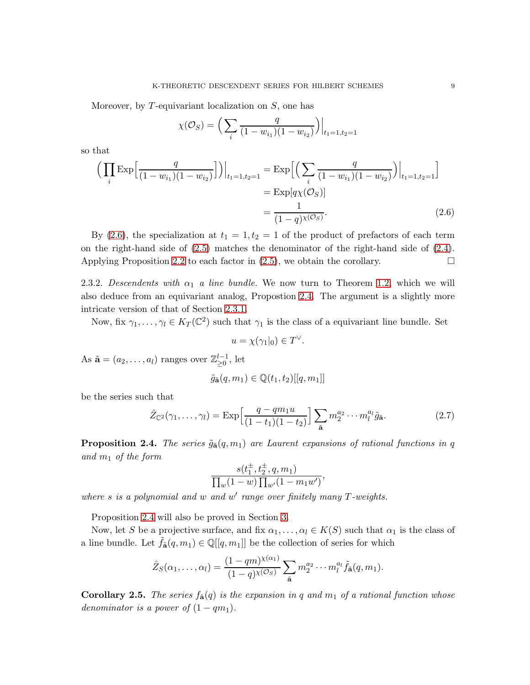Moreover, by  $T$ -equivariant localization on  $S$ , one has

$$
\chi(\mathcal{O}_S) = \Big( \sum_i \frac{q}{(1 - w_{i_1})(1 - w_{i_2})} \Big) \Big|_{t_1 = 1, t_2 = 1}
$$

so that

$$
\left(\prod_{i} \text{Exp}\Big[\frac{q}{(1-w_{i_1})(1-w_{i_2})}\Big]\right)\Big|_{t_1=1,t_2=1} = \text{Exp}\Big[\Big(\sum_{i} \frac{q}{(1-w_{i_1})(1-w_{i_2})}\Big)\Big|_{t_1=1,t_2=1}\Big]
$$

$$
= \text{Exp}[q\chi(\mathcal{O}_S)]
$$

$$
= \frac{1}{(1-q)^{\chi(\mathcal{O}_S)}}.\tag{2.6}
$$

By [\(2.6\)](#page-8-1), the specialization at  $t_1 = 1, t_2 = 1$  of the product of prefactors of each term on the right-hand side of  $(2.5)$  matches the denominator of the right-hand side of  $(2.4)$ . Applying Proposition [2.2](#page-7-0) to each factor in  $(2.5)$ , we obtain the corollary.

2.3.2. Descendents with  $\alpha_1$  a line bundle. We now turn to Theorem [1.2,](#page-0-2) which we will also deduce from an equivariant analog, Propostion [2.4.](#page-8-0) The argument is a slightly more intricate version of that of Section [2.3.1.](#page-7-3)

Now, fix  $\gamma_1, \ldots, \gamma_l \in K_T(\mathbb{C}^2)$  such that  $\gamma_1$  is the class of a equivariant line bundle. Set

<span id="page-8-2"></span><span id="page-8-1"></span>
$$
u = \chi(\gamma_1|_0) \in T^{\vee}.
$$

As  $\tilde{\mathbf{a}} = (a_2, \dots, a_l)$  ranges over  $\mathbb{Z}_{\geq 0}^{l-1}$ , let

$$
\tilde{g}_{\tilde{\mathbf{a}}}(q, m_1) \in \mathbb{Q}(t_1, t_2)[[q, m_1]]
$$

be the series such that

$$
\hat{Z}_{\mathbb{C}^2}(\gamma_1,\ldots,\gamma_l) = \operatorname{Exp}\left[\frac{q-qm_1u}{(1-t_1)(1-t_2)}\right] \sum_{\tilde{\mathbf{a}}} m_2^{a_2} \cdots m_l^{a_l} \tilde{g}_{\tilde{\mathbf{a}}}.
$$
\n(2.7)

<span id="page-8-0"></span>**Proposition 2.4.** The series  $\tilde{g}_{\tilde{\mathbf{a}}}(q, m_1)$  are Laurent expansions of rational functions in q and  $m_1$  of the form

$$
\frac{s(t_1^{\pm}, t_2^{\pm}, q, m_1)}{\prod_{w} (1-w) \prod_{w'} (1 - m_1 w')},
$$

where  $s$  is a polynomial and  $w$  and  $w'$  range over finitely many  $T$ -weights.

Proposition [2.4](#page-8-0) will also be proved in Section [3.](#page-9-1)

Now, let S be a projective surface, and fix  $\alpha_1, \ldots, \alpha_l \in K(S)$  such that  $\alpha_1$  is the class of a line bundle. Let  $\tilde{f}_{{\bf \tilde{a}}}(q, m_1) \in \mathbb{Q}[[q, m_1]]$  be the collection of series for which

$$
\hat{Z}_S(\alpha_1,\ldots,\alpha_l)=\frac{(1-qm)^{\chi(\alpha_1)}}{(1-q)^{\chi(\mathcal{O}_S)}}\sum_{\tilde{\mathbf{a}}}m_2^{a_2}\cdots m_l^{a_l}\tilde{f}_{\tilde{\mathbf{a}}}(q,m_1).
$$

**Corollary 2.5.** The series  $f_{\tilde{\mathbf{a}}}(q)$  is the expansion in q and  $m_1$  of a rational function whose denominator is a power of  $(1-qm_1)$ .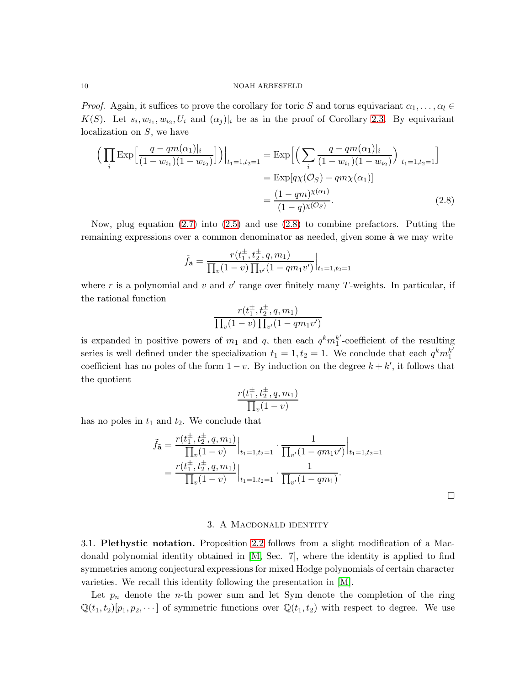*Proof.* Again, it suffices to prove the corollary for toric S and torus equivariant  $\alpha_1, \ldots, \alpha_l \in$  $K(S)$ . Let  $s_i, w_{i_1}, w_{i_2}, U_i$  and  $(\alpha_j)|_i$  be as in the proof of Corollary [2.3.](#page-7-4) By equivariant localization on S, we have

$$
\left(\prod_{i} \text{Exp}\Big[\frac{q - qm(\alpha_1)|_i}{(1 - w_{i_1})(1 - w_{i_2})}\Big]\right)\Big|_{t_1 = 1, t_2 = 1} = \text{Exp}\Big[\Big(\sum_{i} \frac{q - qm(\alpha_1)|_i}{(1 - w_{i_1})(1 - w_{i_2})}\Big)\Big|_{t_1 = 1, t_2 = 1}\Big]
$$

$$
= \text{Exp}[q\chi(\mathcal{O}_S) - qm\chi(\alpha_1)]
$$

$$
= \frac{(1 - qm)^{\chi(\alpha_1)}}{(1 - q)^{\chi(\mathcal{O}_S)}}.\tag{2.8}
$$

Now, plug equation  $(2.7)$  into  $(2.5)$  and use  $(2.8)$  to combine prefactors. Putting the remaining expressions over a common denominator as needed, given some  $\tilde{a}$  we may write

$$
\tilde{f}_{\tilde{\mathbf{a}}} = \frac{r(t_1^{\pm}, t_2^{\pm}, q, m_1)}{\prod_{v}(1-v)\prod_{v'}(1-qm_1v')} \Big|_{t_1=1, t_2=1}
$$

where r is a polynomial and v and v' range over finitely many T-weights. In particular, if the rational function

<span id="page-9-2"></span>
$$
\frac{r(t_1^{\pm}, t_2^{\pm}, q, m_1)}{\prod_{v}(1-v) \prod_{v'}(1-qm_1v')}
$$

is expanded in positive powers of  $m_1$  and  $q$ , then each  $q^k m_1^{k'}$  $j_1^k$ -coefficient of the resulting series is well defined under the specialization  $t_1 = 1, t_2 = 1$ . We conclude that each  $q^k m_1^{k'}$ 1 coefficient has no poles of the form  $1 - v$ . By induction on the degree  $k + k'$ , it follows that the quotient

$$
\frac{r(t_1^{\pm}, t_2^{\pm}, q, m_1)}{\prod_{v} (1 - v)}
$$

has no poles in  $t_1$  and  $t_2$ . We conclude that

$$
\tilde{f}_{\tilde{\mathbf{a}}} = \frac{r(t_1^{\pm}, t_2^{\pm}, q, m_1)}{\prod_v (1 - v)} \Big|_{t_1 = 1, t_2 = 1} \cdot \frac{1}{\prod_{v'} (1 - qm_1v')} \Big|_{t_1 = 1, t_2 = 1}
$$
\n
$$
= \frac{r(t_1^{\pm}, t_2^{\pm}, q, m_1)}{\prod_v (1 - v)} \Big|_{t_1 = 1, t_2 = 1} \cdot \frac{1}{\prod_{v'} (1 - qm_1)}.
$$

 $\Box$ 

### 3. A MACDONALD IDENTITY

<span id="page-9-1"></span><span id="page-9-0"></span>3.1. Plethystic notation. Proposition [2.2](#page-7-0) follows from a slight modification of a Macdonald polynomial identity obtained in [\[M,](#page-14-10) Sec. 7], where the identity is applied to find symmetries among conjectural expressions for mixed Hodge polynomials of certain character varieties. We recall this identity following the presentation in [\[M\]](#page-14-10).

Let  $p_n$  denote the *n*-th power sum and let Sym denote the completion of the ring  $\mathbb{Q}(t_1, t_2)[p_1, p_2, \dots]$  of symmetric functions over  $\mathbb{Q}(t_1, t_2)$  with respect to degree. We use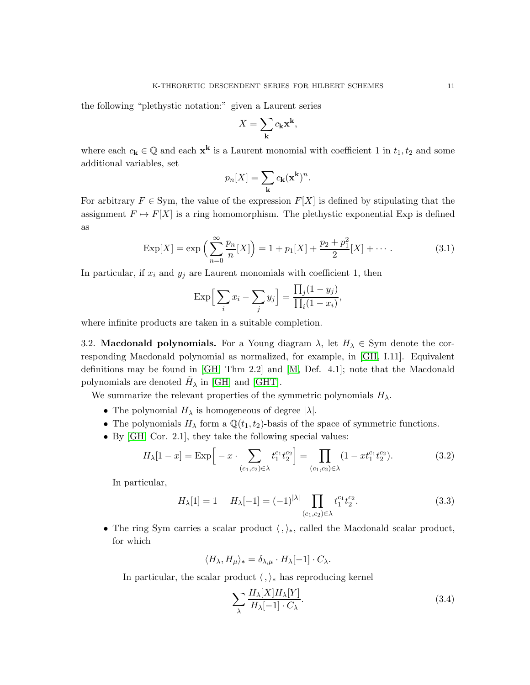the following "plethystic notation:" given a Laurent series

$$
X = \sum_{\mathbf{k}} c_{\mathbf{k}} \mathbf{x}^{\mathbf{k}},
$$

where each  $c_{\mathbf{k}} \in \mathbb{Q}$  and each  $\mathbf{x}^{\mathbf{k}}$  is a Laurent monomial with coefficient 1 in  $t_1, t_2$  and some additional variables, set

<span id="page-10-0"></span>
$$
p_n[X] = \sum_{\mathbf{k}} c_{\mathbf{k}}(\mathbf{x}^{\mathbf{k}})^n.
$$

For arbitrary  $F \in Sym$ , the value of the expression  $F[X]$  is defined by stipulating that the assignment  $F \mapsto F[X]$  is a ring homomorphism. The plethystic exponential Exp is defined as

$$
Exp[X] = exp\left(\sum_{n=0}^{\infty} \frac{p_n}{n}[X]\right) = 1 + p_1[X] + \frac{p_2 + p_1^2}{2}[X] + \cdots
$$
 (3.1)

In particular, if  $x_i$  and  $y_j$  are Laurent monomials with coefficient 1, then

$$
\operatorname{Exp}\Big[\sum_i x_i - \sum_j y_j\Big] = \frac{\prod_j (1 - y_j)}{\prod_i (1 - x_i)},
$$

where infinite products are taken in a suitable completion.

3.2. Macdonald polynomials. For a Young diagram  $\lambda$ , let  $H_{\lambda} \in \text{Sym}$  denote the corresponding Macdonald polynomial as normalized, for example, in [\[GH,](#page-13-13) I.11]. Equivalent definitions may be found in [\[GH,](#page-13-13) Thm 2.2] and [\[M,](#page-14-10) Def. 4.1]; note that the Macdonald polynomials are denoted  $\tilde{H}_{\lambda}$  in [\[GH\]](#page-13-13) and [\[GHT\]](#page-13-11).

We summarize the relevant properties of the symmetric polynomials  $H_{\lambda}$ .

- The polynomial  $H_{\lambda}$  is homogeneous of degree  $|\lambda|$ .
- The polynomials  $H_{\lambda}$  form a  $\mathbb{Q}(t_1, t_2)$ -basis of the space of symmetric functions.
- By [\[GH,](#page-13-13) Cor. 2.1], they take the following special values:

$$
H_{\lambda}[1-x] = \text{Exp}\Big[-x \cdot \sum_{(c_1,c_2)\in\lambda} t_1^{c_1} t_2^{c_2}\Big] = \prod_{(c_1,c_2)\in\lambda} (1 - xt_1^{c_1} t_2^{c_2}).\tag{3.2}
$$

In particular,

$$
H_{\lambda}[1] = 1 \t H_{\lambda}[-1] = (-1)^{|\lambda|} \prod_{(c_1, c_2) \in \lambda} t_1^{c_1} t_2^{c_2}.
$$
\n(3.3)

• The ring Sym carries a scalar product  $\langle , \rangle_*,$  called the Macdonald scalar product, for which

$$
\langle H_{\lambda}, H_{\mu} \rangle_* = \delta_{\lambda, \mu} \cdot H_{\lambda}[-1] \cdot C_{\lambda}.
$$

In particular, the scalar product  $\langle , \rangle_*$  has reproducing kernel

<span id="page-10-3"></span><span id="page-10-2"></span><span id="page-10-1"></span>
$$
\sum_{\lambda} \frac{H_{\lambda}[X]H_{\lambda}[Y]}{H_{\lambda}[-1] \cdot C_{\lambda}}.\tag{3.4}
$$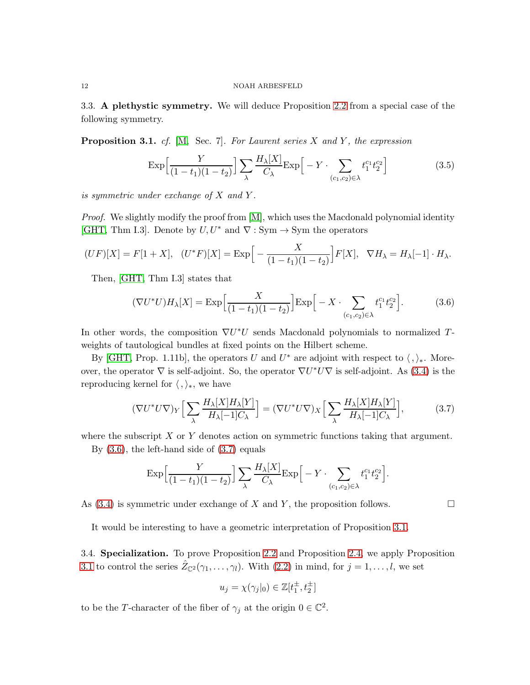3.3. A plethystic symmetry. We will deduce Proposition [2.2](#page-7-0) from a special case of the following symmetry.

<span id="page-11-0"></span>**Proposition 3.1.** cf. [\[M,](#page-14-10) Sec. 7]. For Laurent series X and Y, the expression

<span id="page-11-3"></span>
$$
\exp\left[\frac{Y}{(1-t_1)(1-t_2)}\right] \sum_{\lambda} \frac{H_{\lambda}[X]}{C_{\lambda}} \exp\left[-Y \cdot \sum_{(c_1,c_2)\in\lambda} t_1^{c_1} t_2^{c_2}\right]
$$
(3.5)

is symmetric under exchange of  $X$  and  $Y$ .

*Proof.* We slightly modify the proof from  $[M]$ , which uses the Macdonald polynomial identity [\[GHT,](#page-13-11) Thm I.3]. Denote by  $U, U^*$  and  $\nabla : Sym \rightarrow Sym$  the operators

$$
(UF)[X] = F[1+X], \quad (U^*F)[X] = \text{Exp}\Big[-\frac{X}{(1-t_1)(1-t_2)}\Big]F[X], \quad \nabla H_{\lambda} = H_{\lambda}[-1] \cdot H_{\lambda}.
$$

Then, [\[GHT,](#page-13-11) Thm I.3] states that

<span id="page-11-1"></span>
$$
(\nabla U^* U) H_\lambda[X] = \text{Exp}\Big[\frac{X}{(1-t_1)(1-t_2)}\Big] \text{Exp}\Big[-X \cdot \sum_{(c_1, c_2) \in \lambda} t_1^{c_1} t_2^{c_2}\Big].\tag{3.6}
$$

In other words, the composition  $\nabla U^*U$  sends Macdonald polynomials to normalized Tweights of tautological bundles at fixed points on the Hilbert scheme.

By [\[GHT,](#page-13-11) Prop. 1.11b], the operators U and  $U^*$  are adjoint with respect to  $\langle , \rangle_*$ . Moreover, the operator  $\nabla$  is self-adjoint. So, the operator  $\nabla U^* U \nabla$  is self-adjoint. As [\(3.4\)](#page-10-1) is the reproducing kernel for  $\langle , \rangle_*,$  we have

$$
(\nabla U^* U \nabla)_Y \Big[ \sum_{\lambda} \frac{H_{\lambda}[X] H_{\lambda}[Y]}{H_{\lambda}[-1] C_{\lambda}} \Big] = (\nabla U^* U \nabla)_X \Big[ \sum_{\lambda} \frac{H_{\lambda}[X] H_{\lambda}[Y]}{H_{\lambda}[-1] C_{\lambda}} \Big],
$$
(3.7)

where the subscript  $X$  or  $Y$  denotes action on symmetric functions taking that argument.

By  $(3.6)$ , the left-hand side of  $(3.7)$  equals

$$
\exp\left[\frac{Y}{(1-t_1)(1-t_2)}\right] \sum_{\lambda} \frac{H_{\lambda}[X]}{C_{\lambda}} \exp\left[-Y \cdot \sum_{(c_1,c_2)\in\lambda} t_1^{c_1} t_2^{c_2}\right].
$$

As [\(3.4\)](#page-10-1) is symmetric under exchange of X and Y, the proposition follows.  $\Box$ 

It would be interesting to have a geometric interpretation of Proposition [3.1.](#page-11-0)

3.4. Specialization. To prove Proposition [2.2](#page-7-0) and Proposition [2.4,](#page-8-0) we apply Proposition [3.1](#page-11-0) to control the series  $\hat{Z}_{\mathbb{C}^2}(\gamma_1,\ldots,\gamma_l)$ . With  $(2.2)$  in mind, for  $j=1,\ldots,l$ , we set

<span id="page-11-2"></span>
$$
u_j = \chi(\gamma_j|_0) \in \mathbb{Z}[t_1^{\pm}, t_2^{\pm}]
$$

to be the T-character of the fiber of  $\gamma_j$  at the origin  $0 \in \mathbb{C}^2$ .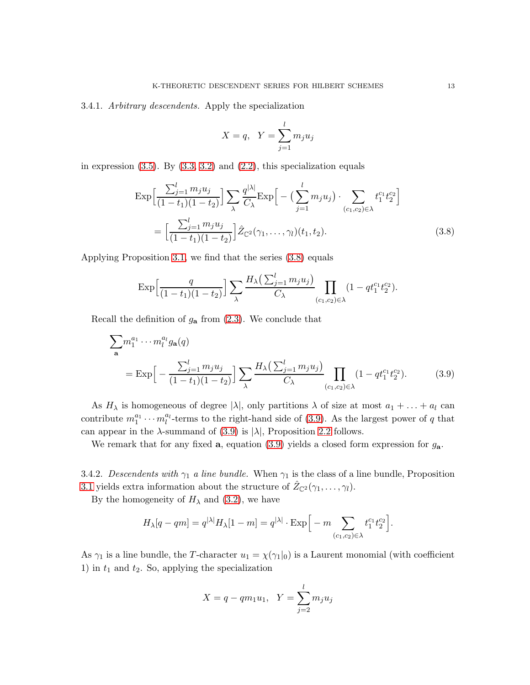# 3.4.1. Arbitrary descendents. Apply the specialization

<span id="page-12-0"></span>
$$
X = q, \quad Y = \sum_{j=1}^{l} m_j u_j
$$

in expression  $(3.5)$ . By  $(3.3, 3.2)$  $(3.3, 3.2)$  and  $(2.2)$ , this specialization equals

$$
\exp\left[\frac{\sum_{j=1}^{l} m_j u_j}{(1-t_1)(1-t_2)}\right] \sum_{\lambda} \frac{q^{|\lambda|}}{C_{\lambda}} \exp\left[-\left(\sum_{j=1}^{l} m_j u_j\right) \cdot \sum_{(c_1, c_2) \in \lambda} t_1^{c_1} t_2^{c_2}\right]
$$
\n
$$
= \left[\frac{\sum_{j=1}^{l} m_j u_j}{(1-t_1)(1-t_2)}\right] \hat{Z}_{\mathbb{C}^2}(\gamma_1, \dots, \gamma_l)(t_1, t_2). \tag{3.8}
$$

Applying Proposition [3.1,](#page-11-0) we find that the series [\(3.8\)](#page-12-0) equals

<span id="page-12-1"></span>
$$
\exp\left[\frac{q}{(1-t_1)(1-t_2)}\right] \sum_{\lambda} \frac{H_{\lambda}\left(\sum_{j=1}^{l} m_j u_j\right)}{C_{\lambda}} \prod_{(c_1,c_2)\in\lambda} (1 - qt_1^{c_1}t_2^{c_2}).
$$

Recall the definition of  $g_{a}$  from  $(2.3)$ . We conclude that

$$
\sum_{\mathbf{a}} m_1^{a_1} \cdots m_l^{a_l} g_{\mathbf{a}}(q)
$$
  
=  $\text{Exp}\Big[-\frac{\sum_{j=1}^l m_j u_j}{(1-t_1)(1-t_2)}\Big] \sum_{\lambda} \frac{H_{\lambda}(\sum_{j=1}^l m_j u_j)}{C_{\lambda}} \prod_{(c_1, c_2) \in \lambda} (1 - qt_1^{c_1} t_2^{c_2}).$  (3.9)

As  $H_{\lambda}$  is homogeneous of degree  $|\lambda|$ , only partitions  $\lambda$  of size at most  $a_1 + \ldots + a_l$  can contribute  $m_1^{a_1} \cdots m_l^{a_l}$ -terms to the right-hand side of [\(3.9\)](#page-12-1). As the largest power of q that can appear in the  $\lambda$ -summand of [\(3.9\)](#page-12-1) is  $|\lambda|$ , Proposition [2.2](#page-7-0) follows.

We remark that for any fixed **a**, equation [\(3.9\)](#page-12-1) yields a closed form expression for  $g_{a}$ .

3.4.2. Descendents with  $\gamma_1$  a line bundle. When  $\gamma_1$  is the class of a line bundle, Proposition [3.1](#page-11-0) yields extra information about the structure of  $\hat{Z}_{\mathbb{C}^2}(\gamma_1,\ldots,\gamma_l)$ .

By the homogeneity of  $H_{\lambda}$  and [\(3.2\)](#page-10-3), we have

$$
H_{\lambda}[q-qm] = q^{|\lambda|} H_{\lambda}[1-m] = q^{|\lambda|} \cdot \text{Exp}\Big[-m \sum_{(c_1,c_2)\in\lambda} t_1^{c_1} t_2^{c_2}\Big].
$$

As  $\gamma_1$  is a line bundle, the T-character  $u_1 = \chi(\gamma_1|_0)$  is a Laurent monomial (with coefficient 1) in  $t_1$  and  $t_2$ . So, applying the specialization

$$
X = q - qm_1u_1, \ \ Y = \sum_{j=2}^{l} m_ju_j
$$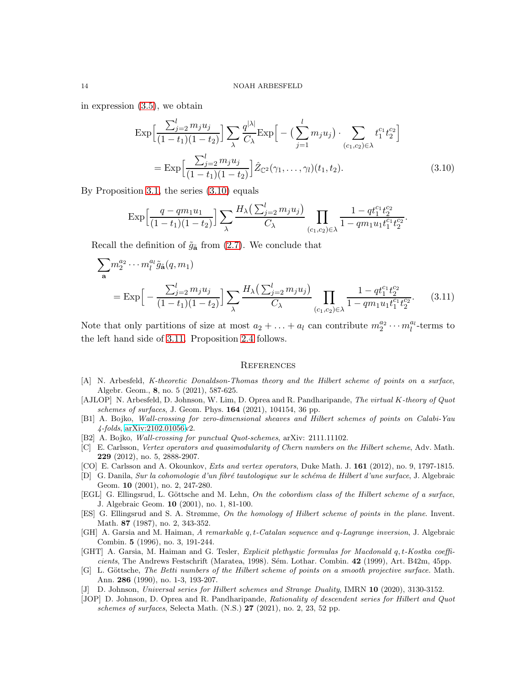in expression [\(3.5\)](#page-11-3), we obtain

$$
\exp\left[\frac{\sum_{j=2}^{l} m_j u_j}{(1-t_1)(1-t_2)}\right] \sum_{\lambda} \frac{q^{|\lambda|}}{C_{\lambda}} \exp\left[-\left(\sum_{j=1}^{l} m_j u_j\right) \cdot \sum_{(c_1, c_2) \in \lambda} t_1^{c_1} t_2^{c_2}\right]
$$
\n
$$
= \exp\left[\frac{\sum_{j=2}^{l} m_j u_j}{(1-t_1)(1-t_2)}\right] \hat{Z}_{\mathbb{C}^2}(\gamma_1, \dots, \gamma_l)(t_1, t_2). \tag{3.10}
$$

By Proposition [3.1,](#page-11-0) the series [\(3.10\)](#page-13-14) equals

$$
\exp\left[\frac{q-qm_1u_1}{(1-t_1)(1-t_2)}\right]\sum_{\lambda}\frac{H_{\lambda}\left(\sum_{j=2}^l m_ju_j\right)}{C_{\lambda}}\prod_{(c_1,c_2)\in\lambda}\frac{1-qt_1^{c_1}t_2^{c_2}}{1-qm_1u_1t_1^{c_1}t_2^{c_2}}.
$$

Recall the definition of  $\tilde{g}_{\tilde{\mathbf{a}}}$  from [\(2.7\)](#page-8-2). We conclude that

$$
\sum_{\mathbf{a}} m_2^{a_2} \cdots m_l^{a_l} \tilde{g}_{\mathbf{\tilde{a}}}(q, m_1)
$$
  
=  $\text{Exp}\Big[-\frac{\sum_{j=2}^l m_j u_j}{(1-t_1)(1-t_2)}\Big] \sum_{\lambda} \frac{H_{\lambda} \big(\sum_{j=2}^l m_j u_j\big)}{C_{\lambda}} \prod_{(c_1, c_2) \in \lambda} \frac{1 - qt_1^{c_1} t_2^{c_2}}{1 - q m_1 u_1 t_1^{c_1} t_2^{c_2}}.$  (3.11)

Note that only partitions of size at most  $a_2 + \ldots + a_l$  can contribute  $m_2^{a_2} \cdots m_l^{a_l}$ -terms to the left hand side of [3.11.](#page-13-15) Proposition [2.4](#page-8-0) follows.

#### <span id="page-13-15"></span><span id="page-13-14"></span>**REFERENCES**

- <span id="page-13-3"></span>[A] N. Arbesfeld, K-theoretic Donaldson-Thomas theory and the Hilbert scheme of points on a surface, Algebr. Geom., 8, no. 5 (2021), 587-625.
- <span id="page-13-0"></span>[AJLOP] N. Arbesfeld, D. Johnson, W. Lim, D. Oprea and R. Pandharipande, The virtual K-theory of Quot schemes of surfaces, J. Geom. Phys. 164 (2021), 104154, 36 pp.
- <span id="page-13-7"></span>[B1] A. Bojko, Wall-crossing for zero-dimensional sheaves and Hilbert schemes of points on Calabi-Yau 4-folds, [arXiv:2102.01056v](http://arxiv.org/abs/2102.01056)2.
- <span id="page-13-8"></span>[B2] A. Bojko, Wall-crossing for punctual Quot-schemes, arXiv: 2111.11102.
- <span id="page-13-6"></span>[C] E. Carlsson, Vertex operators and quasimodularity of Chern numbers on the Hilbert scheme, Adv. Math. 229 (2012), no. 5, 2888-2907.
- <span id="page-13-5"></span>[CO] E. Carlsson and A. Okounkov, Exts and vertex operators, Duke Math. J. 161 (2012), no. 9, 1797-1815.
- <span id="page-13-4"></span>[D] G. Danila, Sur la cohomologie d'un fibré tautologique sur le schéma de Hilbert d'une surface, J. Algebraic Geom. 10 (2001), no. 2, 247-280.
- <span id="page-13-2"></span>[EGL] G. Ellingsrud, L. Göttsche and M. Lehn, On the cobordism class of the Hilbert scheme of a surface, J. Algebraic Geom. 10 (2001), no. 1, 81-100.
- <span id="page-13-12"></span>[ES] G. Ellingsrud and S. A. Strømme, On the homology of Hilbert scheme of points in the plane. Invent. Math. 87 (1987), no. 2, 343-352.
- <span id="page-13-13"></span>[GH] A. Garsia and M. Haiman, A remarkable q, t-Catalan sequence and q-Lagrange inversion, J. Algebraic Combin. 5 (1996), no. 3, 191-244.
- <span id="page-13-11"></span>[GHT] A. Garsia, M. Haiman and G. Tesler, Explicit plethystic formulas for Macdonald q, t-Kostka coefficients, The Andrews Festschrift (Maratea, 1998). Sém. Lothar. Combin. 42 (1999), Art. B42m, 45pp.
- <span id="page-13-1"></span>[G] L. Göttsche, The Betti numbers of the Hilbert scheme of points on a smooth projective surface. Math. Ann. 286 (1990), no. 1-3, 193-207.
- <span id="page-13-10"></span>[J] D. Johnson, Universal series for Hilbert schemes and Strange Duality, IMRN 10 (2020), 3130-3152.
- <span id="page-13-9"></span>[JOP] D. Johnson, D. Oprea and R. Pandharipande, Rationality of descendent series for Hilbert and Quot schemes of surfaces, Selecta Math. (N.S.)  $27$  (2021), no. 2, 23, 52 pp.